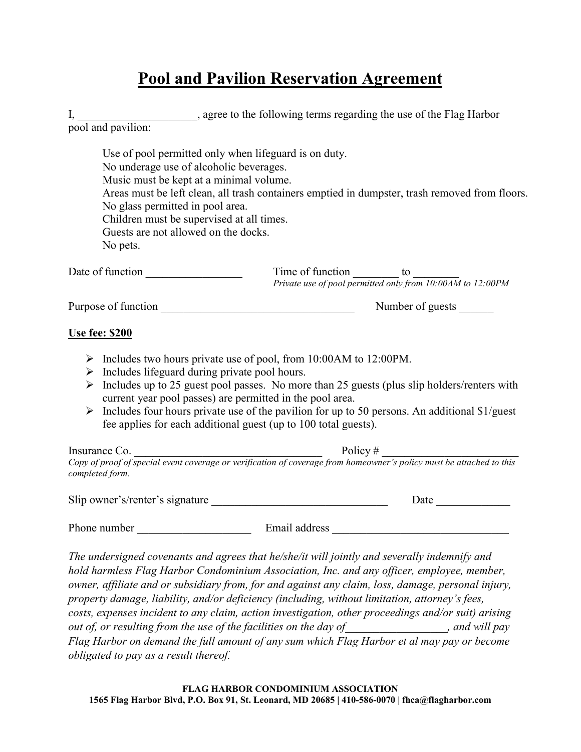## **Pool and Pavilion Reservation Agreement**

|                                                                                                                                                                                                                         | I, ______________________, agree to the following terms regarding the use of the Flag Harbor                                                                                                                                                                                                                                                                                                                                       |
|-------------------------------------------------------------------------------------------------------------------------------------------------------------------------------------------------------------------------|------------------------------------------------------------------------------------------------------------------------------------------------------------------------------------------------------------------------------------------------------------------------------------------------------------------------------------------------------------------------------------------------------------------------------------|
| pool and pavilion:                                                                                                                                                                                                      |                                                                                                                                                                                                                                                                                                                                                                                                                                    |
| No underage use of alcoholic beverages.<br>Music must be kept at a minimal volume.<br>No glass permitted in pool area.<br>Children must be supervised at all times.<br>Guests are not allowed on the docks.<br>No pets. | Use of pool permitted only when lifeguard is on duty.<br>Areas must be left clean, all trash containers emptied in dumpster, trash removed from floors.                                                                                                                                                                                                                                                                            |
|                                                                                                                                                                                                                         | Time of function __________ to _________                                                                                                                                                                                                                                                                                                                                                                                           |
|                                                                                                                                                                                                                         | Private use of pool permitted only from 10:00AM to 12:00PM                                                                                                                                                                                                                                                                                                                                                                         |
|                                                                                                                                                                                                                         | Purpose of function                                                                                                                                                                                                                                                                                                                                                                                                                |
| <u>Use fee: \$200</u>                                                                                                                                                                                                   |                                                                                                                                                                                                                                                                                                                                                                                                                                    |
| $\triangleright$ Includes lifeguard during private pool hours.<br>➤                                                                                                                                                     | $\triangleright$ Includes two hours private use of pool, from 10:00AM to 12:00PM.<br>$\triangleright$ Includes up to 25 guest pool passes. No more than 25 guests (plus slip holders/renters with<br>current year pool passes) are permitted in the pool area.<br>Includes four hours private use of the pavilion for up to 50 persons. An additional \$1/guest<br>fee applies for each additional guest (up to 100 total guests). |
|                                                                                                                                                                                                                         |                                                                                                                                                                                                                                                                                                                                                                                                                                    |
| completed form.                                                                                                                                                                                                         | Insurance Co. $\frac{\text{Policy #}}{\text{Copy of proof of special event coverage or verification of coverage from home owner's policy must be attached to this}}$                                                                                                                                                                                                                                                               |
|                                                                                                                                                                                                                         | Slip owner's/renter's signature<br>Date $\qquad$                                                                                                                                                                                                                                                                                                                                                                                   |
|                                                                                                                                                                                                                         |                                                                                                                                                                                                                                                                                                                                                                                                                                    |
|                                                                                                                                                                                                                         | The undersigned covenants and agrees that he/she/it will jointly and severally indemnify and<br>hold have loss Flag Harbor Condominium Association Ine, and am officer employee mombor                                                                                                                                                                                                                                             |

*hold harmless Flag Harbor Condominium Association, Inc. and any officer, employee, member, owner, affiliate and or subsidiary from, for and against any claim, loss, damage, personal injury, property damage, liability, and/or deficiency (including, without limitation, attorney's fees, costs, expenses incident to any claim, action investigation, other proceedings and/or suit) arising out of, or resulting from the use of the facilities on the day of\_\_\_\_\_\_\_\_\_\_\_\_\_\_\_\_\_\_, and will pay Flag Harbor on demand the full amount of any sum which Flag Harbor et al may pay or become obligated to pay as a result thereof.*

**FLAG HARBOR CONDOMINIUM ASSOCIATION 1565 Flag Harbor Blvd, P.O. Box 91, St. Leonard, MD 20685 | 410-586-0070 | fhca@flagharbor.com**